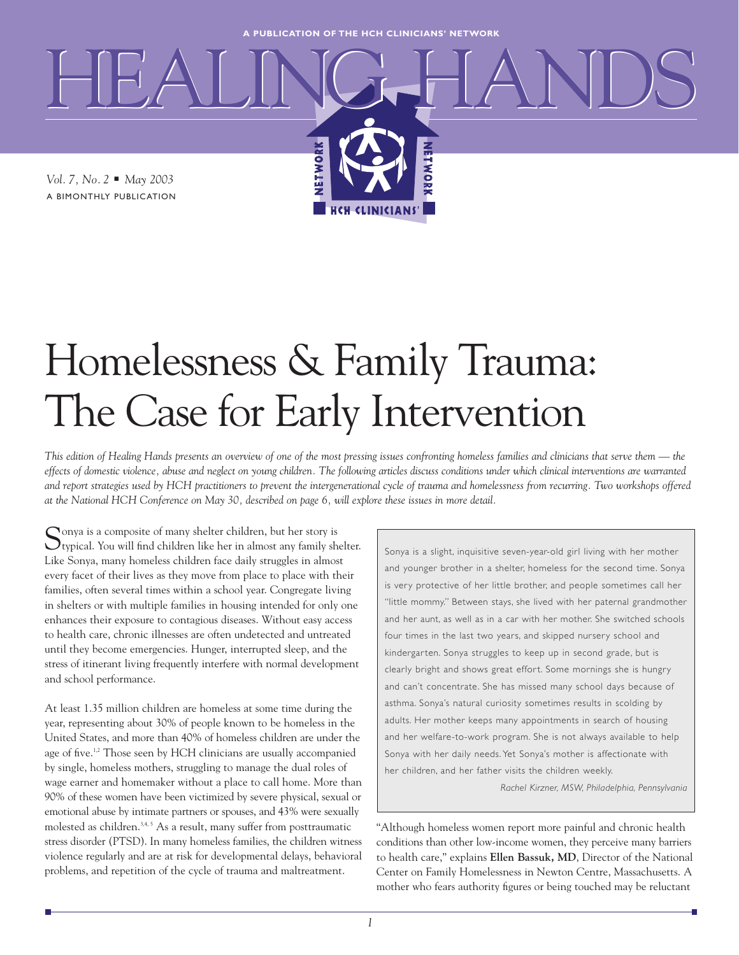**A PUBLICATION OF THE HCH CLINICIANS' NETWORK**

HEALING HANDS

**HCH CLIN** 

**HETWO** 

*Vol. 7, No. 2* ■ *May 2003* A BIMONTHLY PUBLICATION

# Homelessness & Family Trauma: The Case for Early Intervention

NETWORK

*This edition of Healing Hands presents an overview of one of the most pressing issues confronting homeless families and clinicians that serve them — the effects of domestic violence, abuse and neglect on young children. The following articles discuss conditions under which clinical interventions are warranted and report strategies used by HCH practitioners to prevent the intergenerational cycle of trauma and homelessness from recurring. Two workshops offered at the National HCH Conference on May 30, described on page 6, will explore these issues in more detail.*

Sonya is a composite of many shelter children, but her story is  $\bigcup$ typical. You will find children like her in almost any family shelter. Like Sonya, many homeless children face daily struggles in almost every facet of their lives as they move from place to place with their families, often several times within a school year. Congregate living in shelters or with multiple families in housing intended for only one enhances their exposure to contagious diseases. Without easy access to health care, chronic illnesses are often undetected and untreated until they become emergencies. Hunger, interrupted sleep, and the stress of itinerant living frequently interfere with normal development and school performance.

At least 1.35 million children are homeless at some time during the year, representing about 30% of people known to be homeless in the United States, and more than 40% of homeless children are under the age of five.<sup>1,2</sup> Those seen by HCH clinicians are usually accompanied by single, homeless mothers, struggling to manage the dual roles of wage earner and homemaker without a place to call home. More than 90% of these women have been victimized by severe physical, sexual or emotional abuse by intimate partners or spouses, and 43% were sexually molested as children.<sup>3,4, 5</sup> As a result, many suffer from posttraumatic stress disorder (PTSD). In many homeless families, the children witness violence regularly and are at risk for developmental delays, behavioral problems, and repetition of the cycle of trauma and maltreatment.

Sonya is a slight, inquisitive seven-year-old girl living with her mother and younger brother in a shelter, homeless for the second time. Sonya is very protective of her little brother, and people sometimes call her "little mommy." Between stays, she lived with her paternal grandmother and her aunt, as well as in a car with her mother. She switched schools four times in the last two years, and skipped nursery school and kindergarten. Sonya struggles to keep up in second grade, but is clearly bright and shows great effort. Some mornings she is hungry and can't concentrate. She has missed many school days because of asthma. Sonya's natural curiosity sometimes results in scolding by adults. Her mother keeps many appointments in search of housing and her welfare-to-work program. She is not always available to help Sonya with her daily needs. Yet Sonya's mother is affectionate with her children, and her father visits the children weekly.

*Rachel Kirzner, MSW, Philadelphia, Pennsylvania*

"Although homeless women report more painful and chronic health conditions than other low-income women, they perceive many barriers to health care," explains **Ellen Bassuk, MD**, Director of the National Center on Family Homelessness in Newton Centre, Massachusetts. A mother who fears authority figures or being touched may be reluctant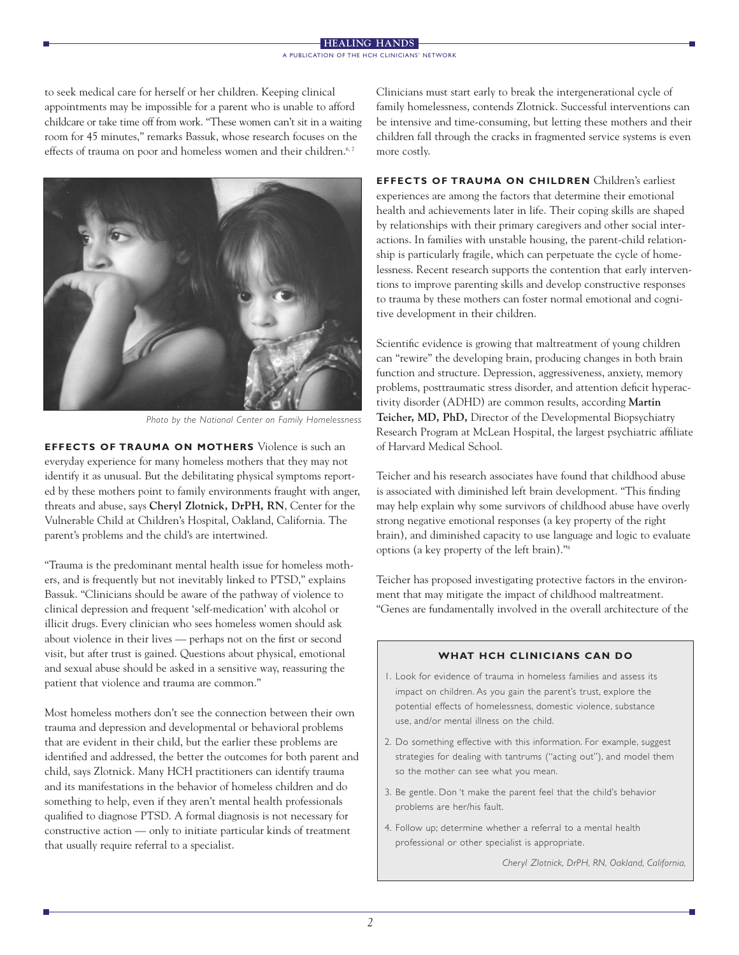#### **HEALING HANDS** A PUBLICATION OF THE HCH CLINICIANS' NETWORK

to seek medical care for herself or her children. Keeping clinical appointments may be impossible for a parent who is unable to afford childcare or take time off from work. "These women can't sit in a waiting room for 45 minutes," remarks Bassuk, whose research focuses on the effects of trauma on poor and homeless women and their children.<sup>6, 7</sup>



*Photo by the National Center on Family Homelessness*

**EFFECTS OF TRAUMA ON MOTHERS** Violence is such an everyday experience for many homeless mothers that they may not identify it as unusual. But the debilitating physical symptoms reported by these mothers point to family environments fraught with anger, threats and abuse, says **Cheryl Zlotnick, DrPH, RN**, Center for the Vulnerable Child at Children's Hospital, Oakland, California. The parent's problems and the child's are intertwined.

"Trauma is the predominant mental health issue for homeless mothers, and is frequently but not inevitably linked to PTSD," explains Bassuk. "Clinicians should be aware of the pathway of violence to clinical depression and frequent 'self-medication' with alcohol or illicit drugs. Every clinician who sees homeless women should ask about violence in their lives — perhaps not on the first or second visit, but after trust is gained. Questions about physical, emotional and sexual abuse should be asked in a sensitive way, reassuring the patient that violence and trauma are common."

Most homeless mothers don't see the connection between their own trauma and depression and developmental or behavioral problems that are evident in their child, but the earlier these problems are identified and addressed, the better the outcomes for both parent and child, says Zlotnick. Many HCH practitioners can identify trauma and its manifestations in the behavior of homeless children and do something to help, even if they aren't mental health professionals qualified to diagnose PTSD. A formal diagnosis is not necessary for constructive action — only to initiate particular kinds of treatment that usually require referral to a specialist.

Clinicians must start early to break the intergenerational cycle of family homelessness, contends Zlotnick. Successful interventions can be intensive and time-consuming, but letting these mothers and their children fall through the cracks in fragmented service systems is even more costly.

**EFFECTS OF TRAUMA ON CHILDREN** Children's earliest experiences are among the factors that determine their emotional health and achievements later in life. Their coping skills are shaped by relationships with their primary caregivers and other social interactions. In families with unstable housing, the parent-child relationship is particularly fragile, which can perpetuate the cycle of homelessness. Recent research supports the contention that early interventions to improve parenting skills and develop constructive responses to trauma by these mothers can foster normal emotional and cognitive development in their children.

Scientific evidence is growing that maltreatment of young children can "rewire" the developing brain, producing changes in both brain function and structure. Depression, aggressiveness, anxiety, memory problems, posttraumatic stress disorder, and attention deficit hyperactivity disorder (ADHD) are common results, according **Martin Teicher, MD, PhD,** Director of the Developmental Biopsychiatry Research Program at McLean Hospital, the largest psychiatric affiliate of Harvard Medical School.

Teicher and his research associates have found that childhood abuse is associated with diminished left brain development. "This finding may help explain why some survivors of childhood abuse have overly strong negative emotional responses (a key property of the right brain), and diminished capacity to use language and logic to evaluate options (a key property of the left brain)."8

Teicher has proposed investigating protective factors in the environment that may mitigate the impact of childhood maltreatment. "Genes are fundamentally involved in the overall architecture of the

### **WHAT HCH CLINICIANS CAN DO**

- 1. Look for evidence of trauma in homeless families and assess its impact on children. As you gain the parent's trust, explore the potential effects of homelessness, domestic violence, substance use, and/or mental illness on the child.
- 2. Do something effective with this information. For example, suggest strategies for dealing with tantrums ("acting out"), and model them so the mother can see what you mean.
- 3. Be gentle. Don 't make the parent feel that the child's behavior problems are her/his fault.
- 4. Follow up; determine whether a referral to a mental health professional or other specialist is appropriate.

*Cheryl Zlotnick, DrPH, RN, Oakland, California,*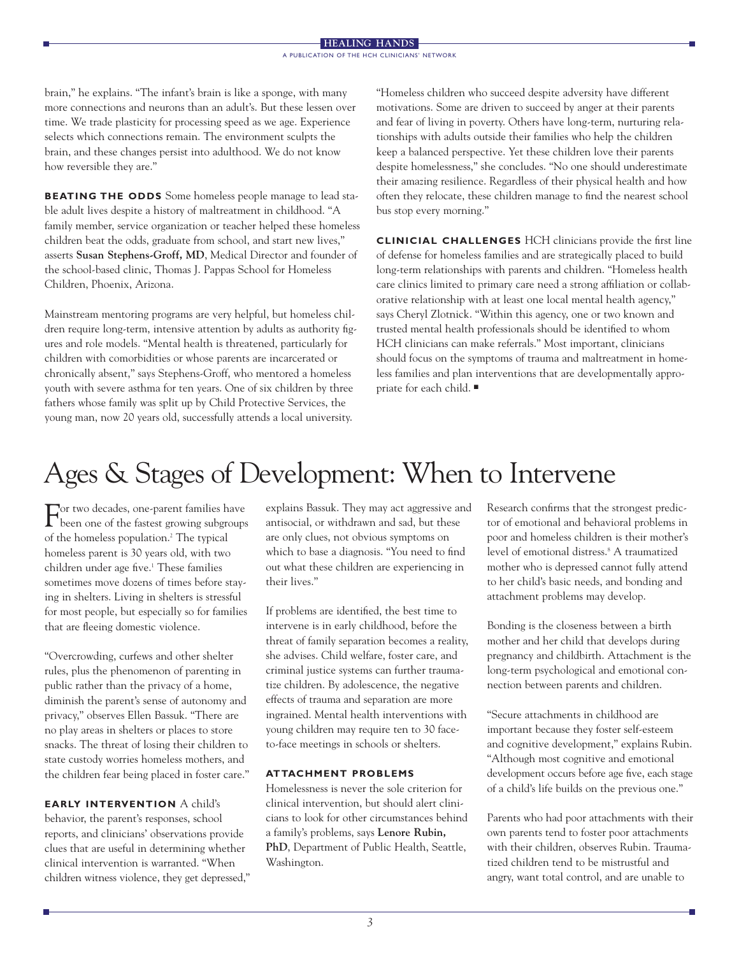brain," he explains. "The infant's brain is like a sponge, with many more connections and neurons than an adult's. But these lessen over time. We trade plasticity for processing speed as we age. Experience selects which connections remain. The environment sculpts the brain, and these changes persist into adulthood. We do not know how reversible they are."

**BEATING THE ODDS** Some homeless people manage to lead stable adult lives despite a history of maltreatment in childhood. "A family member, service organization or teacher helped these homeless children beat the odds, graduate from school, and start new lives," asserts **Susan Stephens-Groff, MD**, Medical Director and founder of the school-based clinic, Thomas J. Pappas School for Homeless Children, Phoenix, Arizona.

Mainstream mentoring programs are very helpful, but homeless children require long-term, intensive attention by adults as authority figures and role models. "Mental health is threatened, particularly for children with comorbidities or whose parents are incarcerated or chronically absent," says Stephens-Groff, who mentored a homeless youth with severe asthma for ten years. One of six children by three fathers whose family was split up by Child Protective Services, the young man, now 20 years old, successfully attends a local university.

"Homeless children who succeed despite adversity have different motivations. Some are driven to succeed by anger at their parents and fear of living in poverty. Others have long-term, nurturing relationships with adults outside their families who help the children keep a balanced perspective. Yet these children love their parents despite homelessness," she concludes. "No one should underestimate their amazing resilience. Regardless of their physical health and how often they relocate, these children manage to find the nearest school bus stop every morning."

**CLINICIAL CHALLENGES** HCH clinicians provide the first line of defense for homeless families and are strategically placed to build long-term relationships with parents and children. "Homeless health care clinics limited to primary care need a strong affiliation or collaborative relationship with at least one local mental health agency," says Cheryl Zlotnick. "Within this agency, one or two known and trusted mental health professionals should be identified to whom HCH clinicians can make referrals." Most important, clinicians should focus on the symptoms of trauma and maltreatment in homeless families and plan interventions that are developmentally appropriate for each child. ■

## Ages & Stages of Development: When to Intervene

For two decades, one-parent families have been one of the fastest growing subgroups of the homeless population.2 The typical homeless parent is 30 years old, with two children under age five.<sup>1</sup> These families sometimes move dozens of times before staying in shelters. Living in shelters is stressful for most people, but especially so for families that are fleeing domestic violence.

"Overcrowding, curfews and other shelter rules, plus the phenomenon of parenting in public rather than the privacy of a home, diminish the parent's sense of autonomy and privacy," observes Ellen Bassuk. "There are no play areas in shelters or places to store snacks. The threat of losing their children to state custody worries homeless mothers, and the children fear being placed in foster care."

**EARLY INTERVENTION** A child's behavior, the parent's responses, school reports, and clinicians' observations provide clues that are useful in determining whether clinical intervention is warranted. "When children witness violence, they get depressed," explains Bassuk. They may act aggressive and antisocial, or withdrawn and sad, but these are only clues, not obvious symptoms on which to base a diagnosis. "You need to find out what these children are experiencing in their lives."

If problems are identified, the best time to intervene is in early childhood, before the threat of family separation becomes a reality, she advises. Child welfare, foster care, and criminal justice systems can further traumatize children. By adolescence, the negative effects of trauma and separation are more ingrained. Mental health interventions with young children may require ten to 30 faceto-face meetings in schools or shelters.

### **ATTACHMENT PROBLEMS**

Homelessness is never the sole criterion for clinical intervention, but should alert clinicians to look for other circumstances behind a family's problems, says **Lenore Rubin, PhD**, Department of Public Health, Seattle, Washington.

Research confirms that the strongest predictor of emotional and behavioral problems in poor and homeless children is their mother's level of emotional distress.<sup>8</sup> A traumatized mother who is depressed cannot fully attend to her child's basic needs, and bonding and attachment problems may develop.

Bonding is the closeness between a birth mother and her child that develops during pregnancy and childbirth. Attachment is the long-term psychological and emotional connection between parents and children.

"Secure attachments in childhood are important because they foster self-esteem and cognitive development," explains Rubin. "Although most cognitive and emotional development occurs before age five, each stage of a child's life builds on the previous one."

Parents who had poor attachments with their own parents tend to foster poor attachments with their children, observes Rubin. Traumatized children tend to be mistrustful and angry, want total control, and are unable to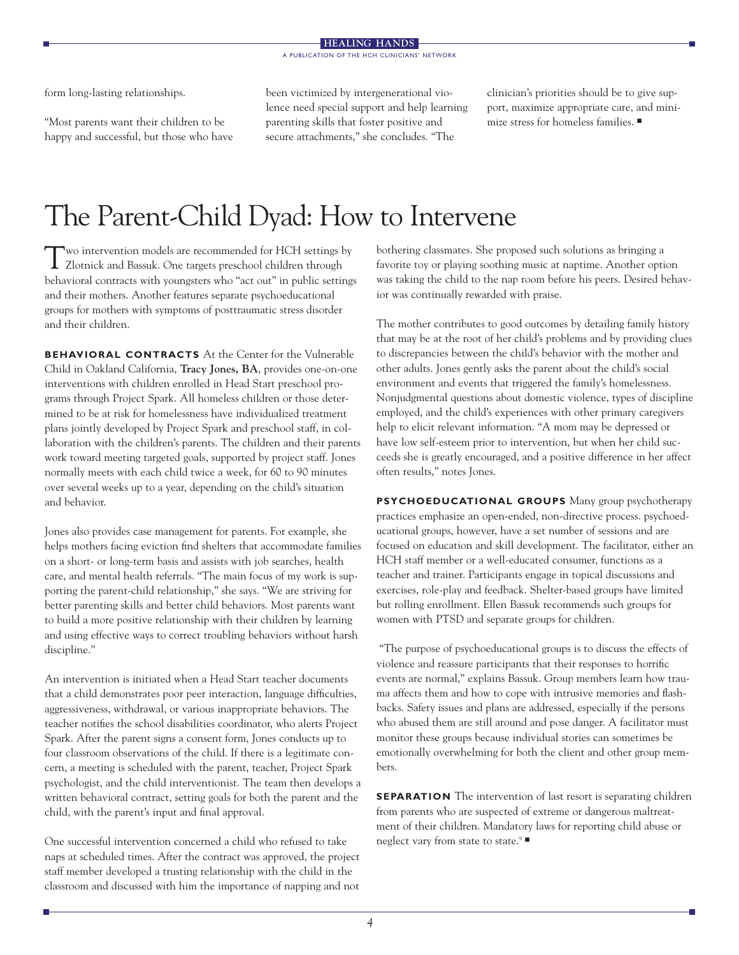form long-lasting relationships.

"Most parents want their children to be happy and successful, but those who have been victimized by intergenerational violence need special support and help learning parenting skills that foster positive and secure attachments," she concludes. "The

clinician's priorities should be to give support, maximize appropriate care, and minimize stress for homeless families. ■

## The Parent-Child Dyad: How to Intervene

Two intervention models are recommended for HCH settings by Zlotnick and Bassuk. One targets preschool children through behavioral contracts with youngsters who "act out" in public settings and their mothers. Another features separate psychoeducational groups for mothers with symptoms of posttraumatic stress disorder and their children.

**BEHAVIORAL CONTRACTS** At the Center for the Vulnerable Child in Oakland California, **Tracy Jones, BA**, provides one-on-one interventions with children enrolled in Head Start preschool programs through Project Spark. All homeless children or those determined to be at risk for homelessness have individualized treatment plans jointly developed by Project Spark and preschool staff, in collaboration with the children's parents. The children and their parents work toward meeting targeted goals, supported by project staff. Jones normally meets with each child twice a week, for 60 to 90 minutes over several weeks up to a year, depending on the child's situation and behavior.

Jones also provides case management for parents. For example, she helps mothers facing eviction find shelters that accommodate families on a short- or long-term basis and assists with job searches, health care, and mental health referrals. "The main focus of my work is supporting the parent-child relationship," she says. "We are striving for better parenting skills and better child behaviors. Most parents want to build a more positive relationship with their children by learning and using effective ways to correct troubling behaviors without harsh discipline."

An intervention is initiated when a Head Start teacher documents that a child demonstrates poor peer interaction, language difficulties, aggressiveness, withdrawal, or various inappropriate behaviors. The teacher notifies the school disabilities coordinator, who alerts Project Spark. After the parent signs a consent form, Jones conducts up to four classroom observations of the child. If there is a legitimate concern, a meeting is scheduled with the parent, teacher, Project Spark psychologist, and the child interventionist. The team then develops a written behavioral contract, setting goals for both the parent and the child, with the parent's input and final approval.

One successful intervention concerned a child who refused to take naps at scheduled times. After the contract was approved, the project staff member developed a trusting relationship with the child in the classroom and discussed with him the importance of napping and not

bothering classmates. She proposed such solutions as bringing a favorite toy or playing soothing music at naptime. Another option was taking the child to the nap room before his peers. Desired behavior was continually rewarded with praise.

The mother contributes to good outcomes by detailing family history that may be at the root of her child's problems and by providing clues to discrepancies between the child's behavior with the mother and other adults. Jones gently asks the parent about the child's social environment and events that triggered the family's homelessness. Nonjudgmental questions about domestic violence, types of discipline employed, and the child's experiences with other primary caregivers help to elicit relevant information. "A mom may be depressed or have low self-esteem prior to intervention, but when her child succeeds she is greatly encouraged, and a positive difference in her affect often results," notes Jones.

**PSYCHOEDUCATIONAL GROUPS** Many group psychotherapy practices emphasize an open-ended, non-directive process. psychoeducational groups, however, have a set number of sessions and are focused on education and skill development. The facilitator, either an HCH staff member or a well-educated consumer, functions as a teacher and trainer. Participants engage in topical discussions and exercises, role-play and feedback. Shelter-based groups have limited but rolling enrollment. Ellen Bassuk recommends such groups for women with PTSD and separate groups for children.

"The purpose of psychoeducational groups is to discuss the effects of violence and reassure participants that their responses to horrific events are normal," explains Bassuk. Group members learn how trauma affects them and how to cope with intrusive memories and flashbacks. Safety issues and plans are addressed, especially if the persons who abused them are still around and pose danger. A facilitator must monitor these groups because individual stories can sometimes be emotionally overwhelming for both the client and other group members.

**SEPARATION** The intervention of last resort is separating children from parents who are suspected of extreme or dangerous maltreatment of their children. Mandatory laws for reporting child abuse or neglect vary from state to state.<sup>9</sup> ■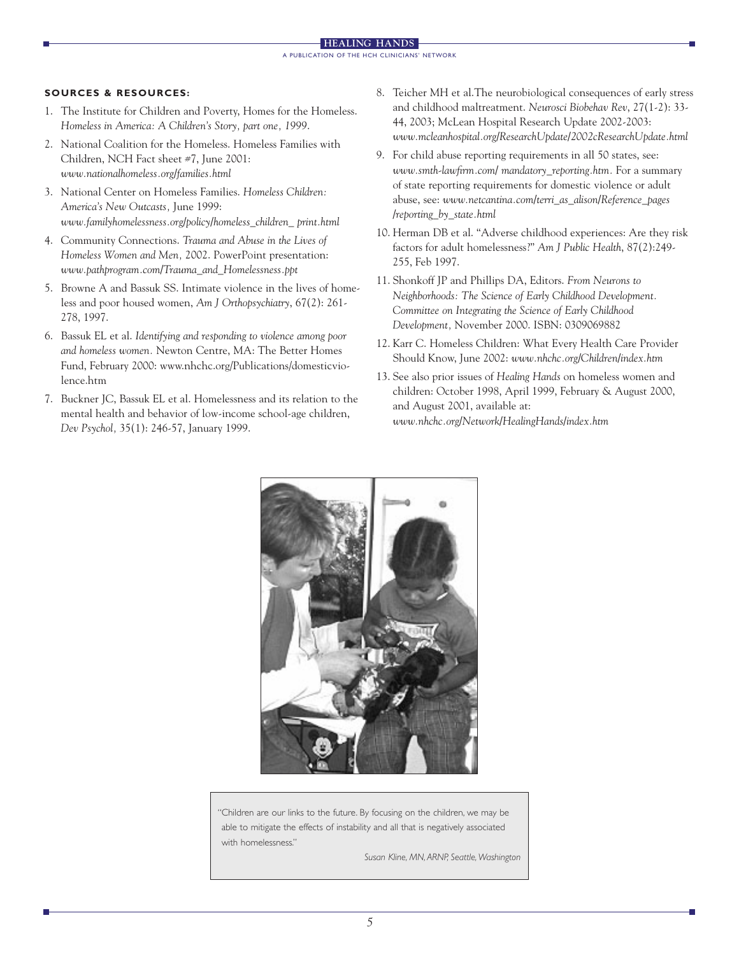#### **SOURCES & RESOURCES:**

- 1. The Institute for Children and Poverty, Homes for the Homeless. *Homeless in America: A Children's Story, part one, 1999*.
- 2. National Coalition for the Homeless. Homeless Families with Children, NCH Fact sheet #7, June 2001: *www.nationalhomeless.org/families.html*
- 3. National Center on Homeless Families. *Homeless Children: America's New Outcasts,* June 1999: *www.familyhomelessness.org/policy/homeless\_children\_ print.html*
- 4. Community Connections. *Trauma and Abuse in the Lives of Homeless Women and Men,* 2002. PowerPoint presentation: *www.pathprogram.com/Trauma\_and\_Homelessness.ppt*
- 5. Browne A and Bassuk SS. Intimate violence in the lives of homeless and poor housed women, *Am J Orthopsychiatry*, 67(2): 261- 278, 1997.
- 6. Bassuk EL et al. *Identifying and responding to violence among poor and homeless women.* Newton Centre, MA: The Better Homes Fund, February 2000: www.nhchc.org/Publications/domesticviolence.htm
- 7. Buckner JC, Bassuk EL et al. Homelessness and its relation to the mental health and behavior of low-income school-age children, *Dev Psychol,* 35(1): 246-57, January 1999.
- 8. Teicher MH et al.The neurobiological consequences of early stress and childhood maltreatment. *Neurosci Biobehav Rev*, 27(1-2): 33- 44, 2003; McLean Hospital Research Update 2002-2003: *www.mcleanhospital.org/ResearchUpdate/2002cResearchUpdate.html*
- 9. For child abuse reporting requirements in all 50 states, see: *www.smth-lawfirm.com/ mandatory\_reporting.htm.* For a summary of state reporting requirements for domestic violence or adult abuse, see: *www.netcantina.com/terri\_as\_alison/Reference\_pages /reporting\_by\_state.html*
- 10. Herman DB et al. "Adverse childhood experiences: Are they risk factors for adult homelessness?" *Am J Public Health*, 87(2):249- 255, Feb 1997.
- 11. Shonkoff JP and Phillips DA, Editors. *From Neurons to Neighborhoods: The Science of Early Childhood Development. Committee on Integrating the Science of Early Childhood Development,* November 2000. ISBN: 0309069882
- 12. Karr C. Homeless Children: What Every Health Care Provider Should Know, June 2002: *www.nhchc.org/Children/index.htm*
- 13. See also prior issues of *Healing Hands* on homeless women and children: October 1998, April 1999, February & August 2000, and August 2001, available at: *www.nhchc.org/Network/HealingHands/index.htm*



"Children are our links to the future. By focusing on the children, we may be able to mitigate the effects of instability and all that is negatively associated with homelessness."

*Susan Kline, MN, ARNP, Seattle,Washington*